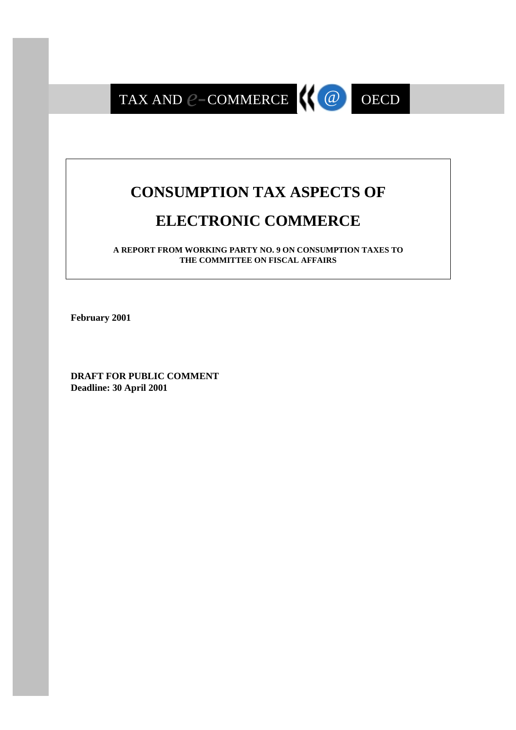



# **CONSUMPTION TAX ASPECTS OF**

# **ELECTRONIC COMMERCE**

**A REPORT FROM WORKING PARTY NO. 9 ON CONSUMPTION TAXES TO THE COMMITTEE ON FISCAL AFFAIRS**

**February 2001**

**DRAFT FOR PUBLIC COMMENT Deadline: 30 April 2001**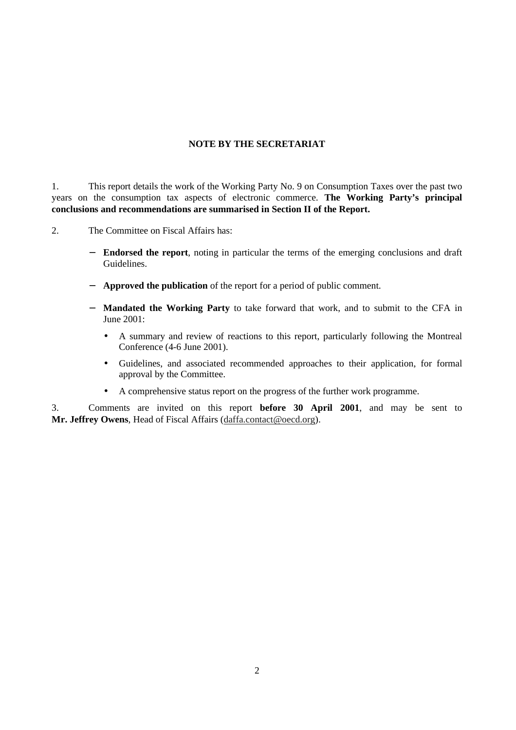## **NOTE BY THE SECRETARIAT**

1. This report details the work of the Working Party No. 9 on Consumption Taxes over the past two years on the consumption tax aspects of electronic commerce. **The Working Party's principal conclusions and recommendations are summarised in Section II of the Report.**

2. The Committee on Fiscal Affairs has:

- − **Endorsed the report**, noting in particular the terms of the emerging conclusions and draft Guidelines.
- − **Approved the publication** of the report for a period of public comment.
- − **Mandated the Working Party** to take forward that work, and to submit to the CFA in June 2001:
	- A summary and review of reactions to this report, particularly following the Montreal Conference (4-6 June 2001).
	- Guidelines, and associated recommended approaches to their application, for formal approval by the Committee.
	- A comprehensive status report on the progress of the further work programme.

3. Comments are invited on this report **before 30 April 2001**, and may be sent to **Mr. Jeffrey Owens**, Head of Fiscal Affairs (daffa.contact@oecd.org).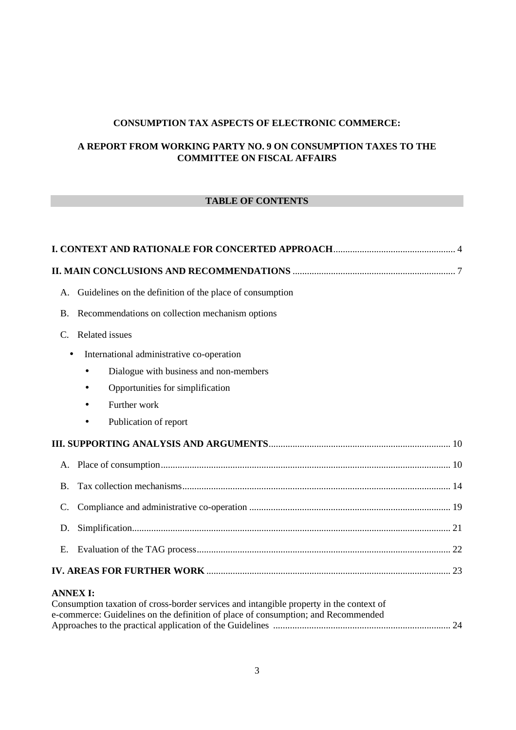## **CONSUMPTION TAX ASPECTS OF ELECTRONIC COMMERCE:**

# **A REPORT FROM WORKING PARTY NO. 9 ON CONSUMPTION TAXES TO THE COMMITTEE ON FISCAL AFFAIRS**

## **TABLE OF CONTENTS**

| A.              | Guidelines on the definition of the place of consumption |  |
|-----------------|----------------------------------------------------------|--|
| <b>B.</b>       | Recommendations on collection mechanism options          |  |
| $C_{\cdot}$     | Related issues                                           |  |
| $\bullet$       | International administrative co-operation                |  |
|                 | Dialogue with business and non-members                   |  |
|                 | Opportunities for simplification                         |  |
|                 | Further work                                             |  |
|                 | Publication of report                                    |  |
|                 |                                                          |  |
| A.              |                                                          |  |
| <b>B.</b>       |                                                          |  |
| C.              |                                                          |  |
| D.              |                                                          |  |
| E.              |                                                          |  |
|                 |                                                          |  |
| <b>ANNEX I:</b> |                                                          |  |

# Consumption taxation of cross-border services and intangible property in the context of e-commerce: Guidelines on the definition of place of consumption; and Recommended Approaches to the practical application of the Guidelines .......................................................................... 24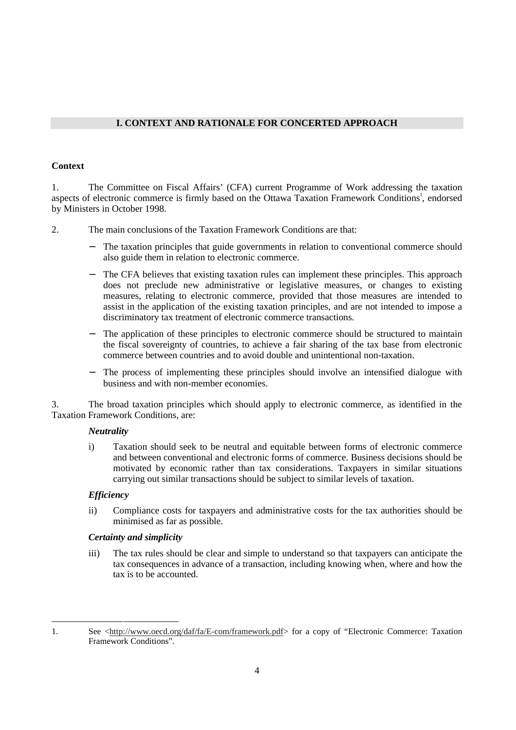# **I. CONTEXT AND RATIONALE FOR CONCERTED APPROACH**

## **Context**

1. The Committee on Fiscal Affairs' (CFA) current Programme of Work addressing the taxation aspects of electronic commerce is firmly based on the Ottawa Taxation Framework Conditions<sup>1</sup>, endorsed by Ministers in October 1998.

2. The main conclusions of the Taxation Framework Conditions are that:

- The taxation principles that guide governments in relation to conventional commerce should also guide them in relation to electronic commerce.
- The CFA believes that existing taxation rules can implement these principles. This approach does not preclude new administrative or legislative measures, or changes to existing measures, relating to electronic commerce, provided that those measures are intended to assist in the application of the existing taxation principles, and are not intended to impose a discriminatory tax treatment of electronic commerce transactions.
- The application of these principles to electronic commerce should be structured to maintain the fiscal sovereignty of countries, to achieve a fair sharing of the tax base from electronic commerce between countries and to avoid double and unintentional non-taxation.
- The process of implementing these principles should involve an intensified dialogue with business and with non-member economies.

3. The broad taxation principles which should apply to electronic commerce, as identified in the Taxation Framework Conditions, are:

## *Neutrality*

i) Taxation should seek to be neutral and equitable between forms of electronic commerce and between conventional and electronic forms of commerce. Business decisions should be motivated by economic rather than tax considerations. Taxpayers in similar situations carrying out similar transactions should be subject to similar levels of taxation.

## *Efficiency*

ii) Compliance costs for taxpayers and administrative costs for the tax authorities should be minimised as far as possible.

## *Certainty and simplicity*

iii) The tax rules should be clear and simple to understand so that taxpayers can anticipate the tax consequences in advance of a transaction, including knowing when, where and how the tax is to be accounted.

<sup>-</sup>1. See <http://www.oecd.org/daf/fa/E-com/framework.pdf> for a copy of "Electronic Commerce: Taxation Framework Conditions".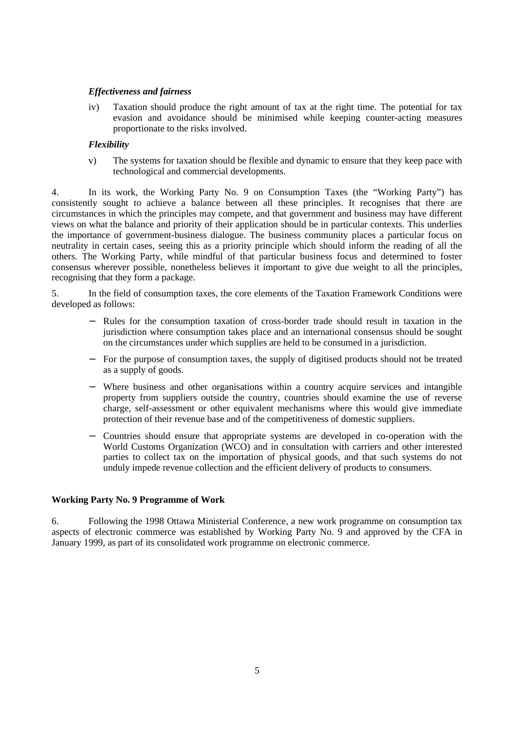## *Effectiveness and fairness*

iv) Taxation should produce the right amount of tax at the right time. The potential for tax evasion and avoidance should be minimised while keeping counter-acting measures proportionate to the risks involved.

## *Flexibility*

v) The systems for taxation should be flexible and dynamic to ensure that they keep pace with technological and commercial developments.

4. In its work, the Working Party No. 9 on Consumption Taxes (the "Working Party") has consistently sought to achieve a balance between all these principles. It recognises that there are circumstances in which the principles may compete, and that government and business may have different views on what the balance and priority of their application should be in particular contexts. This underlies the importance of government-business dialogue. The business community places a particular focus on neutrality in certain cases, seeing this as a priority principle which should inform the reading of all the others. The Working Party, while mindful of that particular business focus and determined to foster consensus wherever possible, nonetheless believes it important to give due weight to all the principles, recognising that they form a package.

5. In the field of consumption taxes, the core elements of the Taxation Framework Conditions were developed as follows:

- − Rules for the consumption taxation of cross-border trade should result in taxation in the jurisdiction where consumption takes place and an international consensus should be sought on the circumstances under which supplies are held to be consumed in a jurisdiction.
- − For the purpose of consumption taxes, the supply of digitised products should not be treated as a supply of goods.
- Where business and other organisations within a country acquire services and intangible property from suppliers outside the country, countries should examine the use of reverse charge, self-assessment or other equivalent mechanisms where this would give immediate protection of their revenue base and of the competitiveness of domestic suppliers.
- − Countries should ensure that appropriate systems are developed in co-operation with the World Customs Organization (WCO) and in consultation with carriers and other interested parties to collect tax on the importation of physical goods, and that such systems do not unduly impede revenue collection and the efficient delivery of products to consumers.

## **Working Party No. 9 Programme of Work**

6. Following the 1998 Ottawa Ministerial Conference, a new work programme on consumption tax aspects of electronic commerce was established by Working Party No. 9 and approved by the CFA in January 1999, as part of its consolidated work programme on electronic commerce.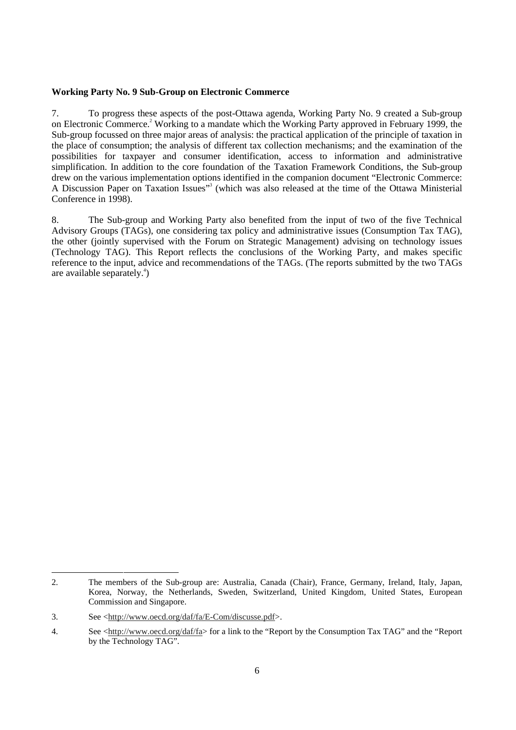#### **Working Party No. 9 Sub-Group on Electronic Commerce**

7. To progress these aspects of the post-Ottawa agenda, Working Party No. 9 created a Sub-group on Electronic Commerce.<sup>2</sup> Working to a mandate which the Working Party approved in February 1999, the Sub-group focussed on three major areas of analysis: the practical application of the principle of taxation in the place of consumption; the analysis of different tax collection mechanisms; and the examination of the possibilities for taxpayer and consumer identification, access to information and administrative simplification. In addition to the core foundation of the Taxation Framework Conditions, the Sub-group drew on the various implementation options identified in the companion document "Electronic Commerce: A Discussion Paper on Taxation Issues"<sup>3</sup> (which was also released at the time of the Ottawa Ministerial Conference in 1998).

8. The Sub-group and Working Party also benefited from the input of two of the five Technical Advisory Groups (TAGs), one considering tax policy and administrative issues (Consumption Tax TAG), the other (jointly supervised with the Forum on Strategic Management) advising on technology issues (Technology TAG). This Report reflects the conclusions of the Working Party, and makes specific reference to the input, advice and recommendations of the TAGs. (The reports submitted by the two TAGs are available separately.<sup>4</sup>)

<sup>-</sup>2. The members of the Sub-group are: Australia, Canada (Chair), France, Germany, Ireland, Italy, Japan, Korea, Norway, the Netherlands, Sweden, Switzerland, United Kingdom, United States, European Commission and Singapore.

<sup>3.</sup> See <http://www.oecd.org/daf/fa/E-Com/discusse.pdf>.

<sup>4.</sup> See <http://www.oecd.org/daf/fa> for a link to the "Report by the Consumption Tax TAG" and the "Report by the Technology TAG".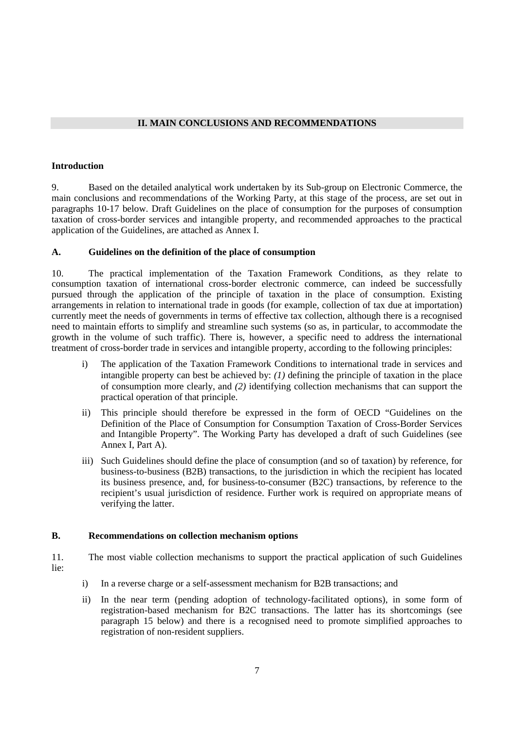## **II. MAIN CONCLUSIONS AND RECOMMENDATIONS**

#### **Introduction**

9. Based on the detailed analytical work undertaken by its Sub-group on Electronic Commerce, the main conclusions and recommendations of the Working Party, at this stage of the process, are set out in paragraphs 10-17 below. Draft Guidelines on the place of consumption for the purposes of consumption taxation of cross-border services and intangible property, and recommended approaches to the practical application of the Guidelines, are attached as Annex I.

#### **A. Guidelines on the definition of the place of consumption**

10. The practical implementation of the Taxation Framework Conditions, as they relate to consumption taxation of international cross-border electronic commerce, can indeed be successfully pursued through the application of the principle of taxation in the place of consumption. Existing arrangements in relation to international trade in goods (for example, collection of tax due at importation) currently meet the needs of governments in terms of effective tax collection, although there is a recognised need to maintain efforts to simplify and streamline such systems (so as, in particular, to accommodate the growth in the volume of such traffic). There is, however, a specific need to address the international treatment of cross-border trade in services and intangible property, according to the following principles:

- i) The application of the Taxation Framework Conditions to international trade in services and intangible property can best be achieved by: *(1)* defining the principle of taxation in the place of consumption more clearly, and *(2)* identifying collection mechanisms that can support the practical operation of that principle.
- ii) This principle should therefore be expressed in the form of OECD "Guidelines on the Definition of the Place of Consumption for Consumption Taxation of Cross-Border Services and Intangible Property". The Working Party has developed a draft of such Guidelines (see Annex I, Part A).
- iii) Such Guidelines should define the place of consumption (and so of taxation) by reference, for business-to-business (B2B) transactions, to the jurisdiction in which the recipient has located its business presence, and, for business-to-consumer (B2C) transactions, by reference to the recipient's usual jurisdiction of residence. Further work is required on appropriate means of verifying the latter.

#### **B. Recommendations on collection mechanism options**

- 11. The most viable collection mechanisms to support the practical application of such Guidelines lie:
	- i) In a reverse charge or a self-assessment mechanism for B2B transactions; and
	- ii) In the near term (pending adoption of technology-facilitated options), in some form of registration-based mechanism for B2C transactions. The latter has its shortcomings (see paragraph 15 below) and there is a recognised need to promote simplified approaches to registration of non-resident suppliers.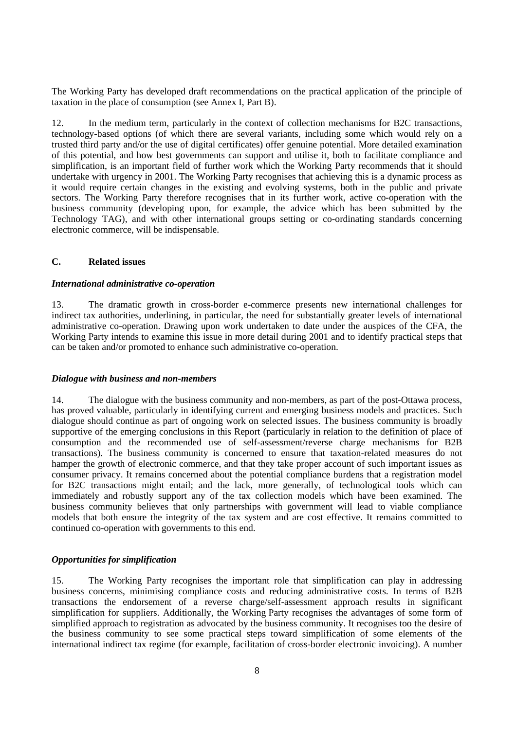The Working Party has developed draft recommendations on the practical application of the principle of taxation in the place of consumption (see Annex I, Part B).

12. In the medium term, particularly in the context of collection mechanisms for B2C transactions, technology-based options (of which there are several variants, including some which would rely on a trusted third party and/or the use of digital certificates) offer genuine potential. More detailed examination of this potential, and how best governments can support and utilise it, both to facilitate compliance and simplification, is an important field of further work which the Working Party recommends that it should undertake with urgency in 2001. The Working Party recognises that achieving this is a dynamic process as it would require certain changes in the existing and evolving systems, both in the public and private sectors. The Working Party therefore recognises that in its further work, active co-operation with the business community (developing upon, for example, the advice which has been submitted by the Technology TAG), and with other international groups setting or co-ordinating standards concerning electronic commerce, will be indispensable.

## **C. Related issues**

#### *International administrative co-operation*

13. The dramatic growth in cross-border e-commerce presents new international challenges for indirect tax authorities, underlining, in particular, the need for substantially greater levels of international administrative co-operation. Drawing upon work undertaken to date under the auspices of the CFA, the Working Party intends to examine this issue in more detail during 2001 and to identify practical steps that can be taken and/or promoted to enhance such administrative co-operation.

#### *Dialogue with business and non-members*

14. The dialogue with the business community and non-members, as part of the post-Ottawa process, has proved valuable, particularly in identifying current and emerging business models and practices. Such dialogue should continue as part of ongoing work on selected issues. The business community is broadly supportive of the emerging conclusions in this Report (particularly in relation to the definition of place of consumption and the recommended use of self-assessment/reverse charge mechanisms for B2B transactions). The business community is concerned to ensure that taxation-related measures do not hamper the growth of electronic commerce, and that they take proper account of such important issues as consumer privacy. It remains concerned about the potential compliance burdens that a registration model for B2C transactions might entail; and the lack, more generally, of technological tools which can immediately and robustly support any of the tax collection models which have been examined. The business community believes that only partnerships with government will lead to viable compliance models that both ensure the integrity of the tax system and are cost effective. It remains committed to continued co-operation with governments to this end.

## *Opportunities for simplification*

15. The Working Party recognises the important role that simplification can play in addressing business concerns, minimising compliance costs and reducing administrative costs. In terms of B2B transactions the endorsement of a reverse charge/self-assessment approach results in significant simplification for suppliers. Additionally, the Working Party recognises the advantages of some form of simplified approach to registration as advocated by the business community. It recognises too the desire of the business community to see some practical steps toward simplification of some elements of the international indirect tax regime (for example, facilitation of cross-border electronic invoicing). A number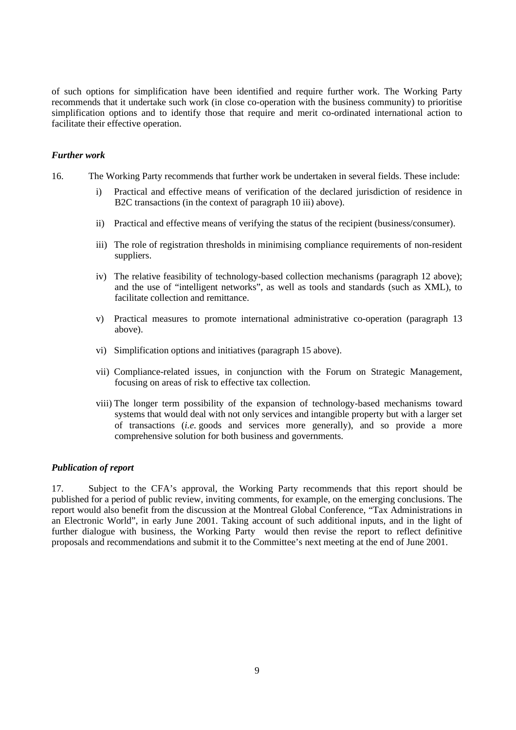of such options for simplification have been identified and require further work. The Working Party recommends that it undertake such work (in close co-operation with the business community) to prioritise simplification options and to identify those that require and merit co-ordinated international action to facilitate their effective operation.

#### *Further work*

- 16. The Working Party recommends that further work be undertaken in several fields. These include:
	- i) Practical and effective means of verification of the declared jurisdiction of residence in B2C transactions (in the context of paragraph 10 iii) above).
	- ii) Practical and effective means of verifying the status of the recipient (business/consumer).
	- iii) The role of registration thresholds in minimising compliance requirements of non-resident suppliers.
	- iv) The relative feasibility of technology-based collection mechanisms (paragraph 12 above); and the use of "intelligent networks", as well as tools and standards (such as XML), to facilitate collection and remittance.
	- v) Practical measures to promote international administrative co-operation (paragraph 13 above).
	- vi) Simplification options and initiatives (paragraph 15 above).
	- vii) Compliance-related issues, in conjunction with the Forum on Strategic Management, focusing on areas of risk to effective tax collection.
	- viii) The longer term possibility of the expansion of technology-based mechanisms toward systems that would deal with not only services and intangible property but with a larger set of transactions (*i.e.* goods and services more generally), and so provide a more comprehensive solution for both business and governments.

#### *Publication of report*

17. Subject to the CFA's approval, the Working Party recommends that this report should be published for a period of public review, inviting comments, for example, on the emerging conclusions. The report would also benefit from the discussion at the Montreal Global Conference, "Tax Administrations in an Electronic World", in early June 2001. Taking account of such additional inputs, and in the light of further dialogue with business, the Working Party would then revise the report to reflect definitive proposals and recommendations and submit it to the Committee's next meeting at the end of June 2001.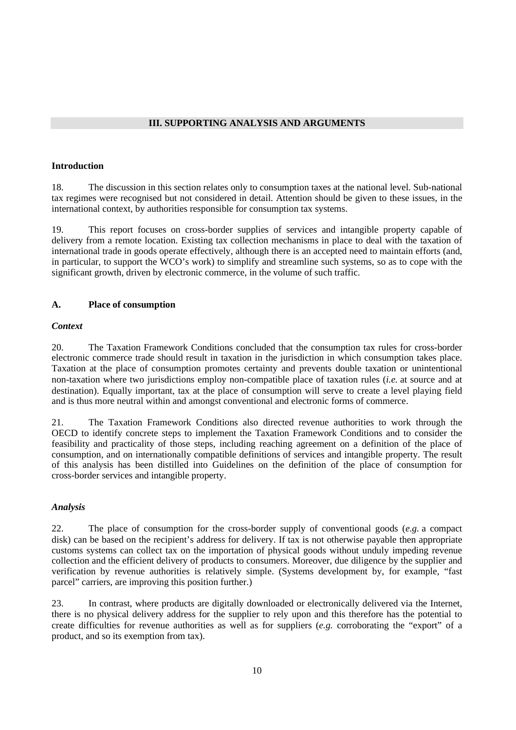## **III. SUPPORTING ANALYSIS AND ARGUMENTS**

### **Introduction**

18. The discussion in this section relates only to consumption taxes at the national level. Sub-national tax regimes were recognised but not considered in detail. Attention should be given to these issues, in the international context, by authorities responsible for consumption tax systems.

19. This report focuses on cross-border supplies of services and intangible property capable of delivery from a remote location. Existing tax collection mechanisms in place to deal with the taxation of international trade in goods operate effectively, although there is an accepted need to maintain efforts (and, in particular, to support the WCO's work) to simplify and streamline such systems, so as to cope with the significant growth, driven by electronic commerce, in the volume of such traffic.

#### **A. Place of consumption**

### *Context*

20. The Taxation Framework Conditions concluded that the consumption tax rules for cross-border electronic commerce trade should result in taxation in the jurisdiction in which consumption takes place. Taxation at the place of consumption promotes certainty and prevents double taxation or unintentional non-taxation where two jurisdictions employ non-compatible place of taxation rules (*i.e.* at source and at destination). Equally important, tax at the place of consumption will serve to create a level playing field and is thus more neutral within and amongst conventional and electronic forms of commerce.

21. The Taxation Framework Conditions also directed revenue authorities to work through the OECD to identify concrete steps to implement the Taxation Framework Conditions and to consider the feasibility and practicality of those steps, including reaching agreement on a definition of the place of consumption, and on internationally compatible definitions of services and intangible property. The result of this analysis has been distilled into Guidelines on the definition of the place of consumption for cross-border services and intangible property.

## *Analysis*

22. The place of consumption for the cross-border supply of conventional goods (*e.g.* a compact disk) can be based on the recipient's address for delivery. If tax is not otherwise payable then appropriate customs systems can collect tax on the importation of physical goods without unduly impeding revenue collection and the efficient delivery of products to consumers. Moreover, due diligence by the supplier and verification by revenue authorities is relatively simple. (Systems development by, for example, "fast parcel" carriers, are improving this position further.)

23. In contrast, where products are digitally downloaded or electronically delivered via the Internet, there is no physical delivery address for the supplier to rely upon and this therefore has the potential to create difficulties for revenue authorities as well as for suppliers (*e.g.* corroborating the "export" of a product, and so its exemption from tax).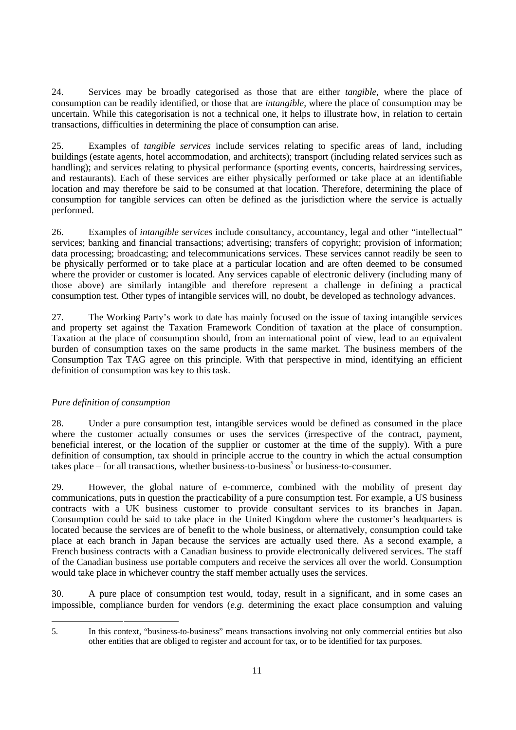24. Services may be broadly categorised as those that are either *tangible,* where the place of consumption can be readily identified, or those that are *intangible,* where the place of consumption may be uncertain. While this categorisation is not a technical one, it helps to illustrate how, in relation to certain transactions, difficulties in determining the place of consumption can arise.

25. Examples of *tangible services* include services relating to specific areas of land, including buildings (estate agents, hotel accommodation, and architects); transport (including related services such as handling); and services relating to physical performance (sporting events, concerts, hairdressing services, and restaurants). Each of these services are either physically performed or take place at an identifiable location and may therefore be said to be consumed at that location. Therefore, determining the place of consumption for tangible services can often be defined as the jurisdiction where the service is actually performed.

26. Examples of *intangible services* include consultancy, accountancy, legal and other "intellectual" services; banking and financial transactions; advertising; transfers of copyright; provision of information; data processing; broadcasting; and telecommunications services. These services cannot readily be seen to be physically performed or to take place at a particular location and are often deemed to be consumed where the provider or customer is located. Any services capable of electronic delivery (including many of those above) are similarly intangible and therefore represent a challenge in defining a practical consumption test. Other types of intangible services will, no doubt, be developed as technology advances.

27. The Working Party's work to date has mainly focused on the issue of taxing intangible services and property set against the Taxation Framework Condition of taxation at the place of consumption. Taxation at the place of consumption should, from an international point of view, lead to an equivalent burden of consumption taxes on the same products in the same market. The business members of the Consumption Tax TAG agree on this principle. With that perspective in mind, identifying an efficient definition of consumption was key to this task.

## *Pure definition of consumption*

28. Under a pure consumption test, intangible services would be defined as consumed in the place where the customer actually consumes or uses the services (irrespective of the contract, payment, beneficial interest, or the location of the supplier or customer at the time of the supply). With a pure definition of consumption, tax should in principle accrue to the country in which the actual consumption takes place  $-$  for all transactions, whether business-to-business<sup>5</sup> or business-to-consumer.

29. However, the global nature of e-commerce, combined with the mobility of present day communications, puts in question the practicability of a pure consumption test. For example, a US business contracts with a UK business customer to provide consultant services to its branches in Japan. Consumption could be said to take place in the United Kingdom where the customer's headquarters is located because the services are of benefit to the whole business, or alternatively, consumption could take place at each branch in Japan because the services are actually used there. As a second example, a French business contracts with a Canadian business to provide electronically delivered services. The staff of the Canadian business use portable computers and receive the services all over the world. Consumption would take place in whichever country the staff member actually uses the services.

30. A pure place of consumption test would, today, result in a significant, and in some cases an impossible, compliance burden for vendors (*e.g.* determining the exact place consumption and valuing

<sup>-</sup>5. In this context, "business-to-business" means transactions involving not only commercial entities but also other entities that are obliged to register and account for tax, or to be identified for tax purposes.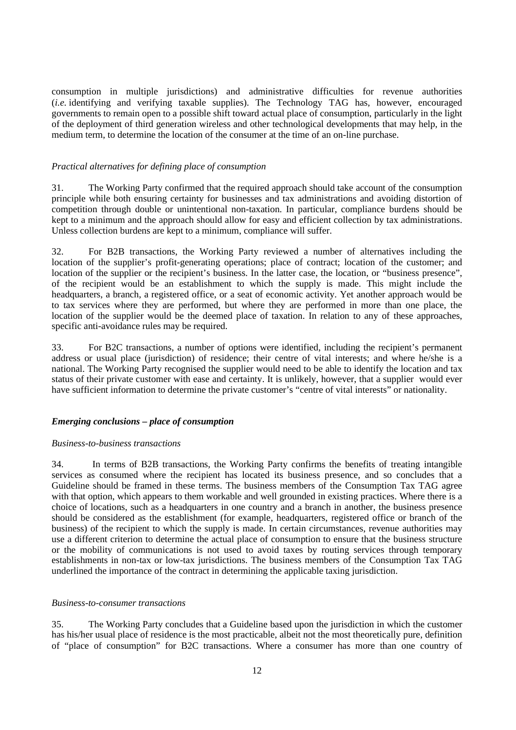consumption in multiple jurisdictions) and administrative difficulties for revenue authorities (*i.e.* identifying and verifying taxable supplies). The Technology TAG has, however, encouraged governments to remain open to a possible shift toward actual place of consumption, particularly in the light of the deployment of third generation wireless and other technological developments that may help, in the medium term, to determine the location of the consumer at the time of an on-line purchase.

#### *Practical alternatives for defining place of consumption*

31. The Working Party confirmed that the required approach should take account of the consumption principle while both ensuring certainty for businesses and tax administrations and avoiding distortion of competition through double or unintentional non-taxation. In particular, compliance burdens should be kept to a minimum and the approach should allow for easy and efficient collection by tax administrations. Unless collection burdens are kept to a minimum, compliance will suffer.

32. For B2B transactions, the Working Party reviewed a number of alternatives including the location of the supplier's profit-generating operations; place of contract; location of the customer; and location of the supplier or the recipient's business. In the latter case, the location, or "business presence", of the recipient would be an establishment to which the supply is made. This might include the headquarters, a branch, a registered office, or a seat of economic activity. Yet another approach would be to tax services where they are performed, but where they are performed in more than one place, the location of the supplier would be the deemed place of taxation. In relation to any of these approaches, specific anti-avoidance rules may be required.

33. For B2C transactions, a number of options were identified, including the recipient's permanent address or usual place (jurisdiction) of residence; their centre of vital interests; and where he/she is a national. The Working Party recognised the supplier would need to be able to identify the location and tax status of their private customer with ease and certainty. It is unlikely, however, that a supplier would ever have sufficient information to determine the private customer's "centre of vital interests" or nationality.

#### *Emerging conclusions – place of consumption*

#### *Business-to-business transactions*

34. In terms of B2B transactions, the Working Party confirms the benefits of treating intangible services as consumed where the recipient has located its business presence, and so concludes that a Guideline should be framed in these terms. The business members of the Consumption Tax TAG agree with that option, which appears to them workable and well grounded in existing practices. Where there is a choice of locations, such as a headquarters in one country and a branch in another, the business presence should be considered as the establishment (for example, headquarters, registered office or branch of the business) of the recipient to which the supply is made. In certain circumstances, revenue authorities may use a different criterion to determine the actual place of consumption to ensure that the business structure or the mobility of communications is not used to avoid taxes by routing services through temporary establishments in non-tax or low-tax jurisdictions. The business members of the Consumption Tax TAG underlined the importance of the contract in determining the applicable taxing jurisdiction.

#### *Business-to-consumer transactions*

35. The Working Party concludes that a Guideline based upon the jurisdiction in which the customer has his/her usual place of residence is the most practicable, albeit not the most theoretically pure, definition of "place of consumption" for B2C transactions. Where a consumer has more than one country of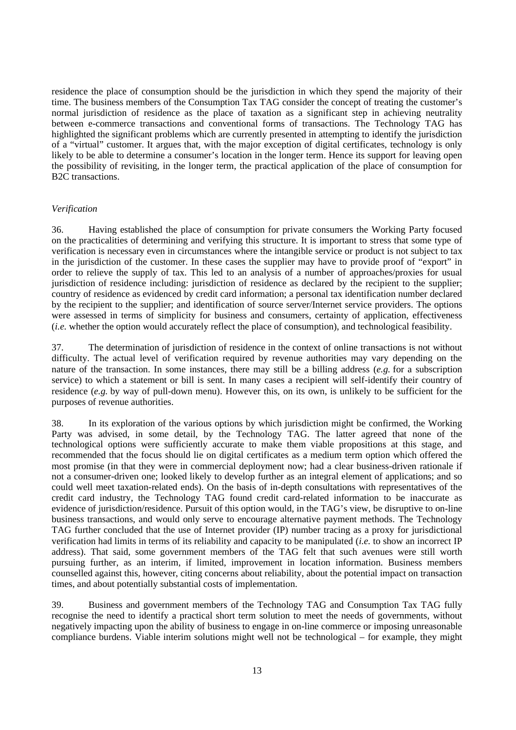residence the place of consumption should be the jurisdiction in which they spend the majority of their time. The business members of the Consumption Tax TAG consider the concept of treating the customer's normal jurisdiction of residence as the place of taxation as a significant step in achieving neutrality between e-commerce transactions and conventional forms of transactions. The Technology TAG has highlighted the significant problems which are currently presented in attempting to identify the jurisdiction of a "virtual" customer. It argues that, with the major exception of digital certificates, technology is only likely to be able to determine a consumer's location in the longer term. Hence its support for leaving open the possibility of revisiting, in the longer term, the practical application of the place of consumption for B2C transactions.

#### *Verification*

36. Having established the place of consumption for private consumers the Working Party focused on the practicalities of determining and verifying this structure. It is important to stress that some type of verification is necessary even in circumstances where the intangible service or product is not subject to tax in the jurisdiction of the customer. In these cases the supplier may have to provide proof of "export" in order to relieve the supply of tax. This led to an analysis of a number of approaches/proxies for usual jurisdiction of residence including: jurisdiction of residence as declared by the recipient to the supplier; country of residence as evidenced by credit card information; a personal tax identification number declared by the recipient to the supplier; and identification of source server/Internet service providers. The options were assessed in terms of simplicity for business and consumers, certainty of application, effectiveness (*i.e.* whether the option would accurately reflect the place of consumption), and technological feasibility.

37. The determination of jurisdiction of residence in the context of online transactions is not without difficulty. The actual level of verification required by revenue authorities may vary depending on the nature of the transaction. In some instances, there may still be a billing address (*e.g.* for a subscription service) to which a statement or bill is sent. In many cases a recipient will self-identify their country of residence (*e.g.* by way of pull-down menu). However this, on its own, is unlikely to be sufficient for the purposes of revenue authorities.

38. In its exploration of the various options by which jurisdiction might be confirmed, the Working Party was advised, in some detail, by the Technology TAG. The latter agreed that none of the technological options were sufficiently accurate to make them viable propositions at this stage, and recommended that the focus should lie on digital certificates as a medium term option which offered the most promise (in that they were in commercial deployment now; had a clear business-driven rationale if not a consumer-driven one; looked likely to develop further as an integral element of applications; and so could well meet taxation-related ends). On the basis of in-depth consultations with representatives of the credit card industry, the Technology TAG found credit card-related information to be inaccurate as evidence of jurisdiction/residence. Pursuit of this option would, in the TAG's view, be disruptive to on-line business transactions, and would only serve to encourage alternative payment methods. The Technology TAG further concluded that the use of Internet provider (IP) number tracing as a proxy for jurisdictional verification had limits in terms of its reliability and capacity to be manipulated (*i.e.* to show an incorrect IP address). That said, some government members of the TAG felt that such avenues were still worth pursuing further, as an interim, if limited, improvement in location information. Business members counselled against this, however, citing concerns about reliability, about the potential impact on transaction times, and about potentially substantial costs of implementation.

39. Business and government members of the Technology TAG and Consumption Tax TAG fully recognise the need to identify a practical short term solution to meet the needs of governments, without negatively impacting upon the ability of business to engage in on-line commerce or imposing unreasonable compliance burdens. Viable interim solutions might well not be technological – for example, they might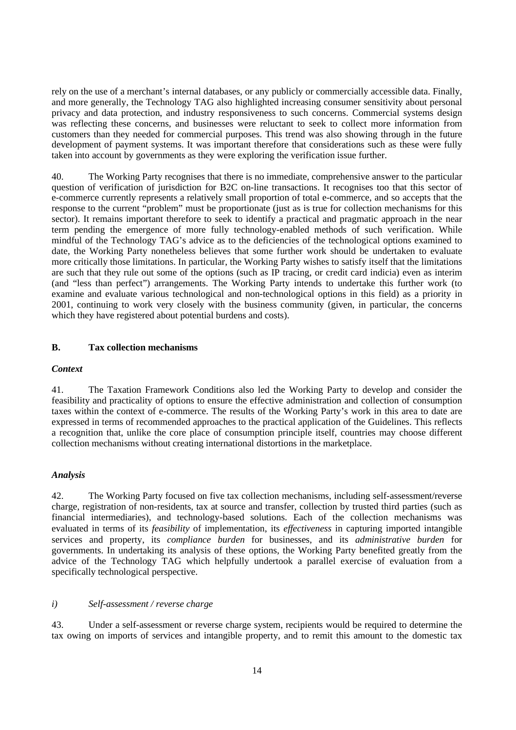rely on the use of a merchant's internal databases, or any publicly or commercially accessible data. Finally, and more generally, the Technology TAG also highlighted increasing consumer sensitivity about personal privacy and data protection, and industry responsiveness to such concerns. Commercial systems design was reflecting these concerns, and businesses were reluctant to seek to collect more information from customers than they needed for commercial purposes. This trend was also showing through in the future development of payment systems. It was important therefore that considerations such as these were fully taken into account by governments as they were exploring the verification issue further.

40. The Working Party recognises that there is no immediate, comprehensive answer to the particular question of verification of jurisdiction for B2C on-line transactions. It recognises too that this sector of e-commerce currently represents a relatively small proportion of total e-commerce, and so accepts that the response to the current "problem" must be proportionate (just as is true for collection mechanisms for this sector). It remains important therefore to seek to identify a practical and pragmatic approach in the near term pending the emergence of more fully technology-enabled methods of such verification. While mindful of the Technology TAG's advice as to the deficiencies of the technological options examined to date, the Working Party nonetheless believes that some further work should be undertaken to evaluate more critically those limitations. In particular, the Working Party wishes to satisfy itself that the limitations are such that they rule out some of the options (such as IP tracing, or credit card indicia) even as interim (and "less than perfect") arrangements. The Working Party intends to undertake this further work (to examine and evaluate various technological and non-technological options in this field) as a priority in 2001, continuing to work very closely with the business community (given, in particular, the concerns which they have registered about potential burdens and costs).

### **B. Tax collection mechanisms**

#### *Context*

41. The Taxation Framework Conditions also led the Working Party to develop and consider the feasibility and practicality of options to ensure the effective administration and collection of consumption taxes within the context of e-commerce. The results of the Working Party's work in this area to date are expressed in terms of recommended approaches to the practical application of the Guidelines. This reflects a recognition that, unlike the core place of consumption principle itself, countries may choose different collection mechanisms without creating international distortions in the marketplace.

#### *Analysis*

42. The Working Party focused on five tax collection mechanisms, including self-assessment/reverse charge, registration of non-residents, tax at source and transfer, collection by trusted third parties (such as financial intermediaries), and technology-based solutions. Each of the collection mechanisms was evaluated in terms of its *feasibility* of implementation, its *effectiveness* in capturing imported intangible services and property, its *compliance burden* for businesses, and its *administrative burden* for governments. In undertaking its analysis of these options, the Working Party benefited greatly from the advice of the Technology TAG which helpfully undertook a parallel exercise of evaluation from a specifically technological perspective.

### *i) Self-assessment / reverse charge*

43. Under a self-assessment or reverse charge system, recipients would be required to determine the tax owing on imports of services and intangible property, and to remit this amount to the domestic tax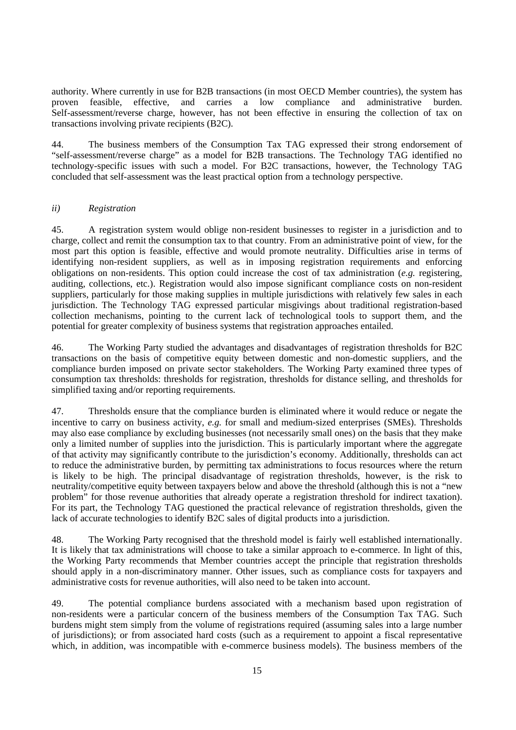authority. Where currently in use for B2B transactions (in most OECD Member countries), the system has proven feasible, effective, and carries a low compliance and administrative burden. Self-assessment/reverse charge, however, has not been effective in ensuring the collection of tax on transactions involving private recipients (B2C).

44. The business members of the Consumption Tax TAG expressed their strong endorsement of "self-assessment/reverse charge" as a model for B2B transactions. The Technology TAG identified no technology-specific issues with such a model. For B2C transactions, however, the Technology TAG concluded that self-assessment was the least practical option from a technology perspective.

## *ii) Registration*

45. A registration system would oblige non-resident businesses to register in a jurisdiction and to charge, collect and remit the consumption tax to that country. From an administrative point of view, for the most part this option is feasible, effective and would promote neutrality. Difficulties arise in terms of identifying non-resident suppliers, as well as in imposing registration requirements and enforcing obligations on non-residents. This option could increase the cost of tax administration (*e.g.* registering, auditing, collections, etc.). Registration would also impose significant compliance costs on non-resident suppliers, particularly for those making supplies in multiple jurisdictions with relatively few sales in each jurisdiction. The Technology TAG expressed particular misgivings about traditional registration-based collection mechanisms, pointing to the current lack of technological tools to support them, and the potential for greater complexity of business systems that registration approaches entailed.

46. The Working Party studied the advantages and disadvantages of registration thresholds for B2C transactions on the basis of competitive equity between domestic and non-domestic suppliers, and the compliance burden imposed on private sector stakeholders. The Working Party examined three types of consumption tax thresholds: thresholds for registration, thresholds for distance selling, and thresholds for simplified taxing and/or reporting requirements.

47. Thresholds ensure that the compliance burden is eliminated where it would reduce or negate the incentive to carry on business activity, *e.g.* for small and medium-sized enterprises (SMEs). Thresholds may also ease compliance by excluding businesses (not necessarily small ones) on the basis that they make only a limited number of supplies into the jurisdiction. This is particularly important where the aggregate of that activity may significantly contribute to the jurisdiction's economy. Additionally, thresholds can act to reduce the administrative burden, by permitting tax administrations to focus resources where the return is likely to be high. The principal disadvantage of registration thresholds, however, is the risk to neutrality/competitive equity between taxpayers below and above the threshold (although this is not a "new problem" for those revenue authorities that already operate a registration threshold for indirect taxation). For its part, the Technology TAG questioned the practical relevance of registration thresholds, given the lack of accurate technologies to identify B2C sales of digital products into a jurisdiction.

48. The Working Party recognised that the threshold model is fairly well established internationally. It is likely that tax administrations will choose to take a similar approach to e-commerce. In light of this, the Working Party recommends that Member countries accept the principle that registration thresholds should apply in a non-discriminatory manner. Other issues, such as compliance costs for taxpayers and administrative costs for revenue authorities, will also need to be taken into account.

49. The potential compliance burdens associated with a mechanism based upon registration of non-residents were a particular concern of the business members of the Consumption Tax TAG. Such burdens might stem simply from the volume of registrations required (assuming sales into a large number of jurisdictions); or from associated hard costs (such as a requirement to appoint a fiscal representative which, in addition, was incompatible with e-commerce business models). The business members of the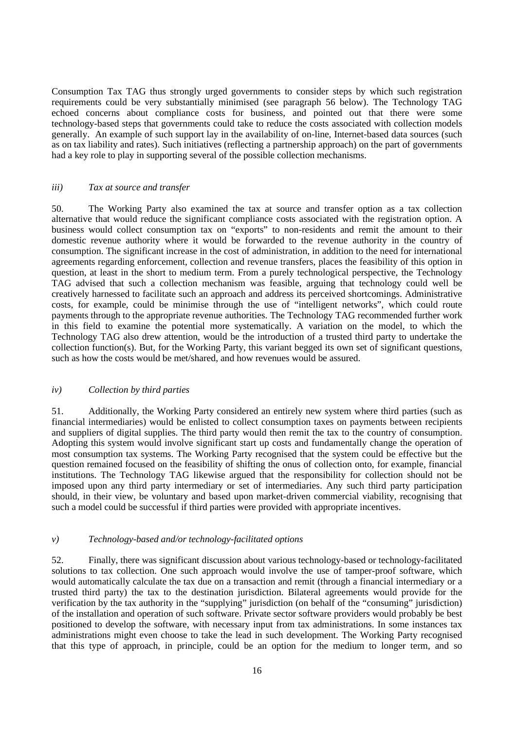Consumption Tax TAG thus strongly urged governments to consider steps by which such registration requirements could be very substantially minimised (see paragraph 56 below). The Technology TAG echoed concerns about compliance costs for business, and pointed out that there were some technology-based steps that governments could take to reduce the costs associated with collection models generally. An example of such support lay in the availability of on-line, Internet-based data sources (such as on tax liability and rates). Such initiatives (reflecting a partnership approach) on the part of governments had a key role to play in supporting several of the possible collection mechanisms.

#### *iii) Tax at source and transfer*

50. The Working Party also examined the tax at source and transfer option as a tax collection alternative that would reduce the significant compliance costs associated with the registration option. A business would collect consumption tax on "exports" to non-residents and remit the amount to their domestic revenue authority where it would be forwarded to the revenue authority in the country of consumption. The significant increase in the cost of administration, in addition to the need for international agreements regarding enforcement, collection and revenue transfers, places the feasibility of this option in question, at least in the short to medium term. From a purely technological perspective, the Technology TAG advised that such a collection mechanism was feasible, arguing that technology could well be creatively harnessed to facilitate such an approach and address its perceived shortcomings. Administrative costs, for example, could be minimise through the use of "intelligent networks", which could route payments through to the appropriate revenue authorities. The Technology TAG recommended further work in this field to examine the potential more systematically. A variation on the model, to which the Technology TAG also drew attention, would be the introduction of a trusted third party to undertake the collection function(s). But, for the Working Party, this variant begged its own set of significant questions, such as how the costs would be met/shared, and how revenues would be assured.

#### *iv) Collection by third parties*

51. Additionally, the Working Party considered an entirely new system where third parties (such as financial intermediaries) would be enlisted to collect consumption taxes on payments between recipients and suppliers of digital supplies. The third party would then remit the tax to the country of consumption. Adopting this system would involve significant start up costs and fundamentally change the operation of most consumption tax systems. The Working Party recognised that the system could be effective but the question remained focused on the feasibility of shifting the onus of collection onto, for example, financial institutions. The Technology TAG likewise argued that the responsibility for collection should not be imposed upon any third party intermediary or set of intermediaries. Any such third party participation should, in their view, be voluntary and based upon market-driven commercial viability, recognising that such a model could be successful if third parties were provided with appropriate incentives.

#### *v) Technology-based and/or technology-facilitated options*

52. Finally, there was significant discussion about various technology-based or technology-facilitated solutions to tax collection. One such approach would involve the use of tamper-proof software, which would automatically calculate the tax due on a transaction and remit (through a financial intermediary or a trusted third party) the tax to the destination jurisdiction. Bilateral agreements would provide for the verification by the tax authority in the "supplying" jurisdiction (on behalf of the "consuming" jurisdiction) of the installation and operation of such software. Private sector software providers would probably be best positioned to develop the software, with necessary input from tax administrations. In some instances tax administrations might even choose to take the lead in such development. The Working Party recognised that this type of approach, in principle, could be an option for the medium to longer term, and so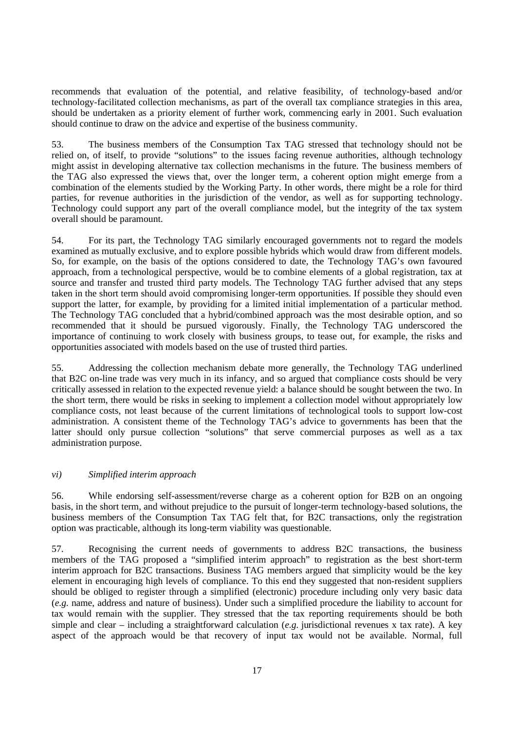recommends that evaluation of the potential, and relative feasibility, of technology-based and/or technology-facilitated collection mechanisms, as part of the overall tax compliance strategies in this area, should be undertaken as a priority element of further work, commencing early in 2001. Such evaluation should continue to draw on the advice and expertise of the business community.

53. The business members of the Consumption Tax TAG stressed that technology should not be relied on, of itself, to provide "solutions" to the issues facing revenue authorities, although technology might assist in developing alternative tax collection mechanisms in the future. The business members of the TAG also expressed the views that, over the longer term, a coherent option might emerge from a combination of the elements studied by the Working Party. In other words, there might be a role for third parties, for revenue authorities in the jurisdiction of the vendor, as well as for supporting technology. Technology could support any part of the overall compliance model, but the integrity of the tax system overall should be paramount.

54. For its part, the Technology TAG similarly encouraged governments not to regard the models examined as mutually exclusive, and to explore possible hybrids which would draw from different models. So, for example, on the basis of the options considered to date, the Technology TAG's own favoured approach, from a technological perspective, would be to combine elements of a global registration, tax at source and transfer and trusted third party models. The Technology TAG further advised that any steps taken in the short term should avoid compromising longer-term opportunities. If possible they should even support the latter, for example, by providing for a limited initial implementation of a particular method. The Technology TAG concluded that a hybrid/combined approach was the most desirable option, and so recommended that it should be pursued vigorously. Finally, the Technology TAG underscored the importance of continuing to work closely with business groups, to tease out, for example, the risks and opportunities associated with models based on the use of trusted third parties.

55. Addressing the collection mechanism debate more generally, the Technology TAG underlined that B2C on-line trade was very much in its infancy, and so argued that compliance costs should be very critically assessed in relation to the expected revenue yield: a balance should be sought between the two. In the short term, there would be risks in seeking to implement a collection model without appropriately low compliance costs, not least because of the current limitations of technological tools to support low-cost administration. A consistent theme of the Technology TAG's advice to governments has been that the latter should only pursue collection "solutions" that serve commercial purposes as well as a tax administration purpose.

#### *vi) Simplified interim approach*

56. While endorsing self-assessment/reverse charge as a coherent option for B2B on an ongoing basis, in the short term, and without prejudice to the pursuit of longer-term technology-based solutions, the business members of the Consumption Tax TAG felt that, for B2C transactions, only the registration option was practicable, although its long-term viability was questionable.

57. Recognising the current needs of governments to address B2C transactions, the business members of the TAG proposed a "simplified interim approach" to registration as the best short-term interim approach for B2C transactions. Business TAG members argued that simplicity would be the key element in encouraging high levels of compliance. To this end they suggested that non-resident suppliers should be obliged to register through a simplified (electronic) procedure including only very basic data (*e.g.* name, address and nature of business). Under such a simplified procedure the liability to account for tax would remain with the supplier. They stressed that the tax reporting requirements should be both simple and clear – including a straightforward calculation (*e.g.* jurisdictional revenues x tax rate). A key aspect of the approach would be that recovery of input tax would not be available. Normal, full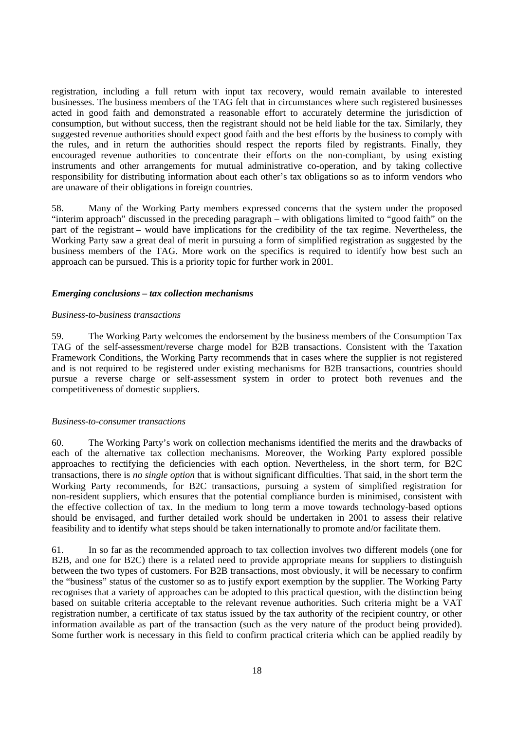registration, including a full return with input tax recovery, would remain available to interested businesses. The business members of the TAG felt that in circumstances where such registered businesses acted in good faith and demonstrated a reasonable effort to accurately determine the jurisdiction of consumption, but without success, then the registrant should not be held liable for the tax. Similarly, they suggested revenue authorities should expect good faith and the best efforts by the business to comply with the rules, and in return the authorities should respect the reports filed by registrants. Finally, they encouraged revenue authorities to concentrate their efforts on the non-compliant, by using existing instruments and other arrangements for mutual administrative co-operation, and by taking collective responsibility for distributing information about each other's tax obligations so as to inform vendors who are unaware of their obligations in foreign countries.

58. Many of the Working Party members expressed concerns that the system under the proposed "interim approach" discussed in the preceding paragraph – with obligations limited to "good faith" on the part of the registrant – would have implications for the credibility of the tax regime. Nevertheless, the Working Party saw a great deal of merit in pursuing a form of simplified registration as suggested by the business members of the TAG. More work on the specifics is required to identify how best such an approach can be pursued. This is a priority topic for further work in 2001.

#### *Emerging conclusions – tax collection mechanisms*

#### *Business-to-business transactions*

59. The Working Party welcomes the endorsement by the business members of the Consumption Tax TAG of the self-assessment/reverse charge model for B2B transactions. Consistent with the Taxation Framework Conditions, the Working Party recommends that in cases where the supplier is not registered and is not required to be registered under existing mechanisms for B2B transactions, countries should pursue a reverse charge or self-assessment system in order to protect both revenues and the competitiveness of domestic suppliers.

#### *Business-to-consumer transactions*

60. The Working Party's work on collection mechanisms identified the merits and the drawbacks of each of the alternative tax collection mechanisms. Moreover, the Working Party explored possible approaches to rectifying the deficiencies with each option. Nevertheless, in the short term, for B2C transactions, there is *no single option* that is without significant difficulties. That said, in the short term the Working Party recommends, for B2C transactions, pursuing a system of simplified registration for non-resident suppliers, which ensures that the potential compliance burden is minimised, consistent with the effective collection of tax. In the medium to long term a move towards technology-based options should be envisaged, and further detailed work should be undertaken in 2001 to assess their relative feasibility and to identify what steps should be taken internationally to promote and/or facilitate them.

61. In so far as the recommended approach to tax collection involves two different models (one for B2B, and one for B2C) there is a related need to provide appropriate means for suppliers to distinguish between the two types of customers. For B2B transactions, most obviously, it will be necessary to confirm the "business" status of the customer so as to justify export exemption by the supplier. The Working Party recognises that a variety of approaches can be adopted to this practical question, with the distinction being based on suitable criteria acceptable to the relevant revenue authorities. Such criteria might be a VAT registration number, a certificate of tax status issued by the tax authority of the recipient country, or other information available as part of the transaction (such as the very nature of the product being provided). Some further work is necessary in this field to confirm practical criteria which can be applied readily by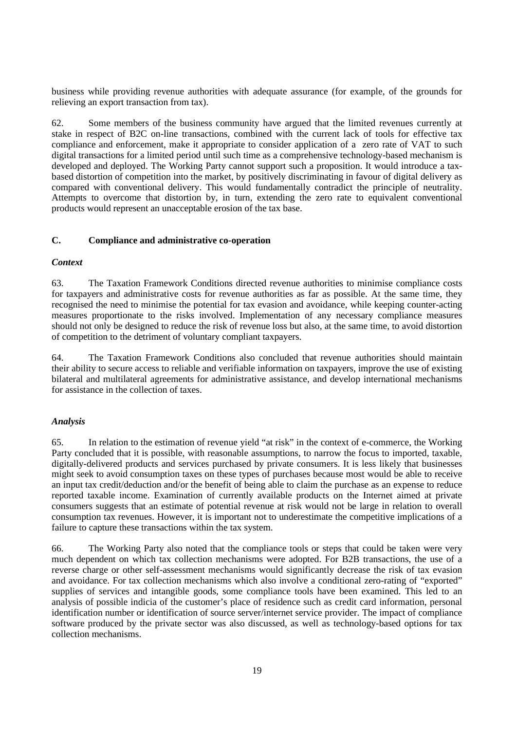business while providing revenue authorities with adequate assurance (for example, of the grounds for relieving an export transaction from tax).

62. Some members of the business community have argued that the limited revenues currently at stake in respect of B2C on-line transactions, combined with the current lack of tools for effective tax compliance and enforcement, make it appropriate to consider application of a zero rate of VAT to such digital transactions for a limited period until such time as a comprehensive technology-based mechanism is developed and deployed. The Working Party cannot support such a proposition. It would introduce a taxbased distortion of competition into the market, by positively discriminating in favour of digital delivery as compared with conventional delivery. This would fundamentally contradict the principle of neutrality. Attempts to overcome that distortion by, in turn, extending the zero rate to equivalent conventional products would represent an unacceptable erosion of the tax base.

## **C. Compliance and administrative co-operation**

#### *Context*

63. The Taxation Framework Conditions directed revenue authorities to minimise compliance costs for taxpayers and administrative costs for revenue authorities as far as possible. At the same time, they recognised the need to minimise the potential for tax evasion and avoidance, while keeping counter-acting measures proportionate to the risks involved. Implementation of any necessary compliance measures should not only be designed to reduce the risk of revenue loss but also, at the same time, to avoid distortion of competition to the detriment of voluntary compliant taxpayers.

64. The Taxation Framework Conditions also concluded that revenue authorities should maintain their ability to secure access to reliable and verifiable information on taxpayers, improve the use of existing bilateral and multilateral agreements for administrative assistance, and develop international mechanisms for assistance in the collection of taxes.

## *Analysis*

65. In relation to the estimation of revenue yield "at risk" in the context of e-commerce, the Working Party concluded that it is possible, with reasonable assumptions, to narrow the focus to imported, taxable, digitally-delivered products and services purchased by private consumers. It is less likely that businesses might seek to avoid consumption taxes on these types of purchases because most would be able to receive an input tax credit/deduction and/or the benefit of being able to claim the purchase as an expense to reduce reported taxable income. Examination of currently available products on the Internet aimed at private consumers suggests that an estimate of potential revenue at risk would not be large in relation to overall consumption tax revenues. However, it is important not to underestimate the competitive implications of a failure to capture these transactions within the tax system.

66. The Working Party also noted that the compliance tools or steps that could be taken were very much dependent on which tax collection mechanisms were adopted. For B2B transactions, the use of a reverse charge or other self-assessment mechanisms would significantly decrease the risk of tax evasion and avoidance. For tax collection mechanisms which also involve a conditional zero-rating of "exported" supplies of services and intangible goods, some compliance tools have been examined. This led to an analysis of possible indicia of the customer's place of residence such as credit card information, personal identification number or identification of source server/internet service provider. The impact of compliance software produced by the private sector was also discussed, as well as technology-based options for tax collection mechanisms.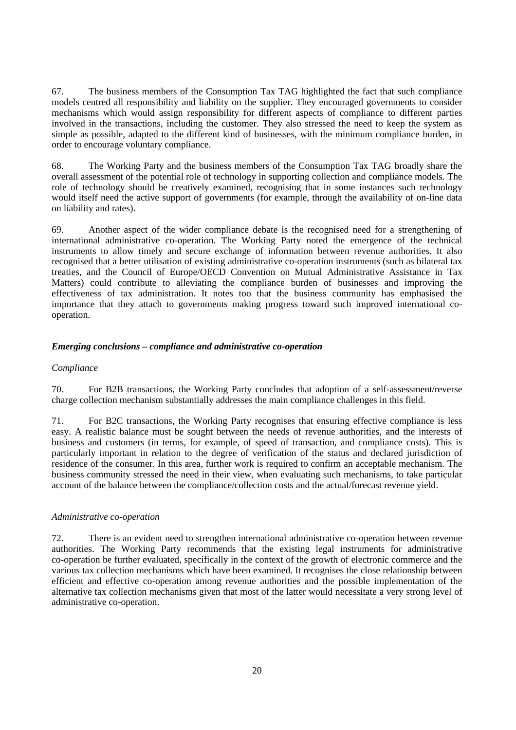67. The business members of the Consumption Tax TAG highlighted the fact that such compliance models centred all responsibility and liability on the supplier. They encouraged governments to consider mechanisms which would assign responsibility for different aspects of compliance to different parties involved in the transactions, including the customer. They also stressed the need to keep the system as simple as possible, adapted to the different kind of businesses, with the minimum compliance burden, in order to encourage voluntary compliance.

68. The Working Party and the business members of the Consumption Tax TAG broadly share the overall assessment of the potential role of technology in supporting collection and compliance models. The role of technology should be creatively examined, recognising that in some instances such technology would itself need the active support of governments (for example, through the availability of on-line data on liability and rates).

69. Another aspect of the wider compliance debate is the recognised need for a strengthening of international administrative co-operation. The Working Party noted the emergence of the technical instruments to allow timely and secure exchange of information between revenue authorities. It also recognised that a better utilisation of existing administrative co-operation instruments (such as bilateral tax treaties, and the Council of Europe/OECD Convention on Mutual Administrative Assistance in Tax Matters) could contribute to alleviating the compliance burden of businesses and improving the effectiveness of tax administration. It notes too that the business community has emphasised the importance that they attach to governments making progress toward such improved international cooperation.

#### *Emerging conclusions – compliance and administrative co-operation*

#### *Compliance*

70. For B2B transactions, the Working Party concludes that adoption of a self-assessment/reverse charge collection mechanism substantially addresses the main compliance challenges in this field.

71. For B2C transactions, the Working Party recognises that ensuring effective compliance is less easy. A realistic balance must be sought between the needs of revenue authorities, and the interests of business and customers (in terms, for example, of speed of transaction, and compliance costs). This is particularly important in relation to the degree of verification of the status and declared jurisdiction of residence of the consumer. In this area, further work is required to confirm an acceptable mechanism. The business community stressed the need in their view, when evaluating such mechanisms, to take particular account of the balance between the compliance/collection costs and the actual/forecast revenue yield.

#### *Administrative co-operation*

72. There is an evident need to strengthen international administrative co-operation between revenue authorities. The Working Party recommends that the existing legal instruments for administrative co-operation be further evaluated, specifically in the context of the growth of electronic commerce and the various tax collection mechanisms which have been examined. It recognises the close relationship between efficient and effective co-operation among revenue authorities and the possible implementation of the alternative tax collection mechanisms given that most of the latter would necessitate a very strong level of administrative co-operation.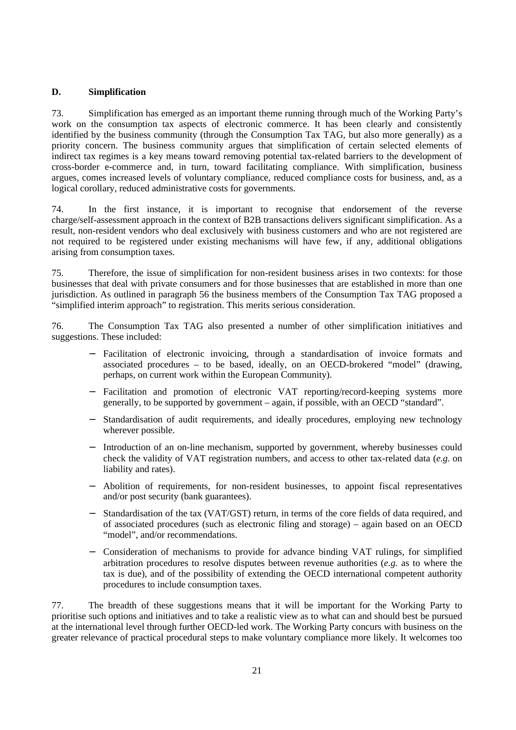## **D. Simplification**

73. Simplification has emerged as an important theme running through much of the Working Party's work on the consumption tax aspects of electronic commerce. It has been clearly and consistently identified by the business community (through the Consumption Tax TAG, but also more generally) as a priority concern. The business community argues that simplification of certain selected elements of indirect tax regimes is a key means toward removing potential tax-related barriers to the development of cross-border e-commerce and, in turn, toward facilitating compliance. With simplification, business argues, comes increased levels of voluntary compliance, reduced compliance costs for business, and, as a logical corollary, reduced administrative costs for governments.

74. In the first instance, it is important to recognise that endorsement of the reverse charge/self-assessment approach in the context of B2B transactions delivers significant simplification. As a result, non-resident vendors who deal exclusively with business customers and who are not registered are not required to be registered under existing mechanisms will have few, if any, additional obligations arising from consumption taxes.

75. Therefore, the issue of simplification for non-resident business arises in two contexts: for those businesses that deal with private consumers and for those businesses that are established in more than one jurisdiction. As outlined in paragraph 56 the business members of the Consumption Tax TAG proposed a "simplified interim approach" to registration. This merits serious consideration.

76. The Consumption Tax TAG also presented a number of other simplification initiatives and suggestions. These included:

- Facilitation of electronic invoicing, through a standardisation of invoice formats and associated procedures – to be based, ideally, on an OECD-brokered "model" (drawing, perhaps, on current work within the European Community).
- Facilitation and promotion of electronic VAT reporting/record-keeping systems more generally, to be supported by government – again, if possible, with an OECD "standard".
- Standardisation of audit requirements, and ideally procedures, employing new technology wherever possible.
- Introduction of an on-line mechanism, supported by government, whereby businesses could check the validity of VAT registration numbers, and access to other tax-related data (*e.g.* on liability and rates).
- − Abolition of requirements, for non-resident businesses, to appoint fiscal representatives and/or post security (bank guarantees).
- Standardisation of the tax (VAT/GST) return, in terms of the core fields of data required, and of associated procedures (such as electronic filing and storage) – again based on an OECD "model", and/or recommendations.
- − Consideration of mechanisms to provide for advance binding VAT rulings, for simplified arbitration procedures to resolve disputes between revenue authorities (*e.g.* as to where the tax is due), and of the possibility of extending the OECD international competent authority procedures to include consumption taxes.

77. The breadth of these suggestions means that it will be important for the Working Party to prioritise such options and initiatives and to take a realistic view as to what can and should best be pursued at the international level through further OECD-led work. The Working Party concurs with business on the greater relevance of practical procedural steps to make voluntary compliance more likely. It welcomes too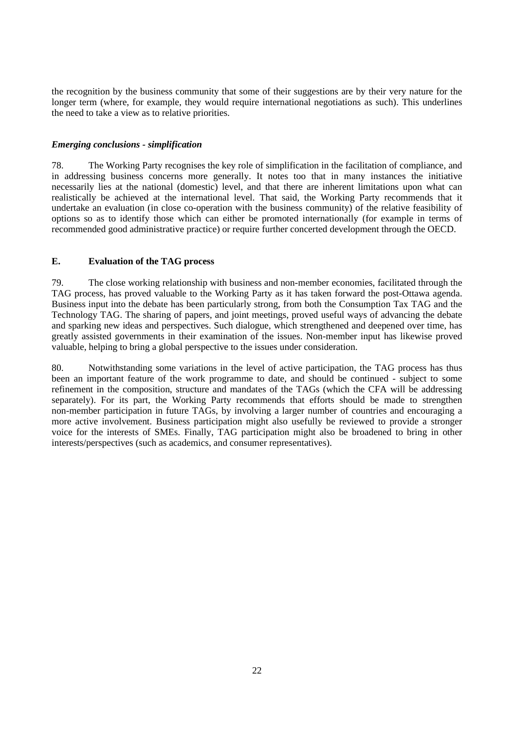the recognition by the business community that some of their suggestions are by their very nature for the longer term (where, for example, they would require international negotiations as such). This underlines the need to take a view as to relative priorities.

## *Emerging conclusions - simplification*

78. The Working Party recognises the key role of simplification in the facilitation of compliance, and in addressing business concerns more generally. It notes too that in many instances the initiative necessarily lies at the national (domestic) level, and that there are inherent limitations upon what can realistically be achieved at the international level. That said, the Working Party recommends that it undertake an evaluation (in close co-operation with the business community) of the relative feasibility of options so as to identify those which can either be promoted internationally (for example in terms of recommended good administrative practice) or require further concerted development through the OECD.

# **E. Evaluation of the TAG process**

79. The close working relationship with business and non-member economies, facilitated through the TAG process, has proved valuable to the Working Party as it has taken forward the post-Ottawa agenda. Business input into the debate has been particularly strong, from both the Consumption Tax TAG and the Technology TAG. The sharing of papers, and joint meetings, proved useful ways of advancing the debate and sparking new ideas and perspectives. Such dialogue, which strengthened and deepened over time, has greatly assisted governments in their examination of the issues. Non-member input has likewise proved valuable, helping to bring a global perspective to the issues under consideration.

80. Notwithstanding some variations in the level of active participation, the TAG process has thus been an important feature of the work programme to date, and should be continued - subject to some refinement in the composition, structure and mandates of the TAGs (which the CFA will be addressing separately). For its part, the Working Party recommends that efforts should be made to strengthen non-member participation in future TAGs, by involving a larger number of countries and encouraging a more active involvement. Business participation might also usefully be reviewed to provide a stronger voice for the interests of SMEs. Finally, TAG participation might also be broadened to bring in other interests/perspectives (such as academics, and consumer representatives).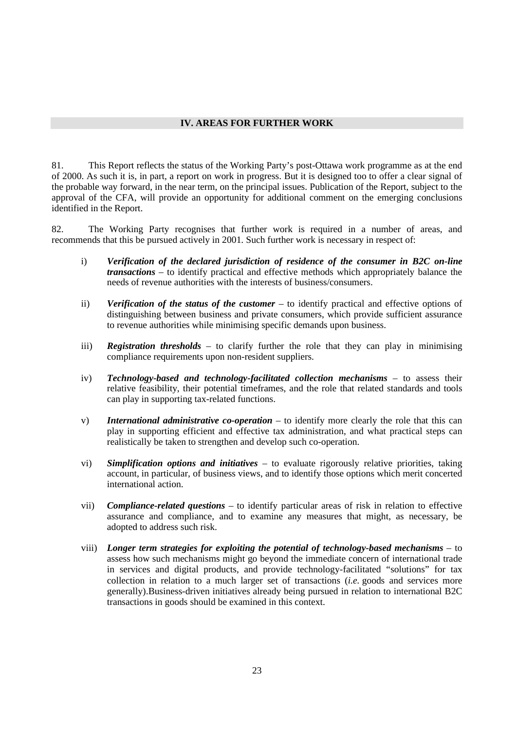## **IV. AREAS FOR FURTHER WORK**

81. This Report reflects the status of the Working Party's post-Ottawa work programme as at the end of 2000. As such it is, in part, a report on work in progress. But it is designed too to offer a clear signal of the probable way forward, in the near term, on the principal issues. Publication of the Report, subject to the approval of the CFA, will provide an opportunity for additional comment on the emerging conclusions identified in the Report.

82. The Working Party recognises that further work is required in a number of areas, and recommends that this be pursued actively in 2001. Such further work is necessary in respect of:

- i) *Verification of the declared jurisdiction of residence of the consumer in B2C on-line transactions* – to identify practical and effective methods which appropriately balance the needs of revenue authorities with the interests of business/consumers.
- ii) *Verification of the status of the customer* to identify practical and effective options of distinguishing between business and private consumers, which provide sufficient assurance to revenue authorities while minimising specific demands upon business.
- iii) *Registration thresholds* to clarify further the role that they can play in minimising compliance requirements upon non-resident suppliers.
- iv) *Technology-based and technology-facilitated collection mechanisms* to assess their relative feasibility, their potential timeframes, and the role that related standards and tools can play in supporting tax-related functions.
- v) *International administrative co-operation* to identify more clearly the role that this can play in supporting efficient and effective tax administration, and what practical steps can realistically be taken to strengthen and develop such co-operation.
- vi) *Simplification options and initiatives* to evaluate rigorously relative priorities, taking account, in particular, of business views, and to identify those options which merit concerted international action.
- vii) *Compliance-related questions* to identify particular areas of risk in relation to effective assurance and compliance, and to examine any measures that might, as necessary, be adopted to address such risk.
- viii) *Longer term strategies for exploiting the potential of technology-based mechanisms* to assess how such mechanisms might go beyond the immediate concern of international trade in services and digital products, and provide technology-facilitated "solutions" for tax collection in relation to a much larger set of transactions (*i.e.* goods and services more generally).Business-driven initiatives already being pursued in relation to international B2C transactions in goods should be examined in this context.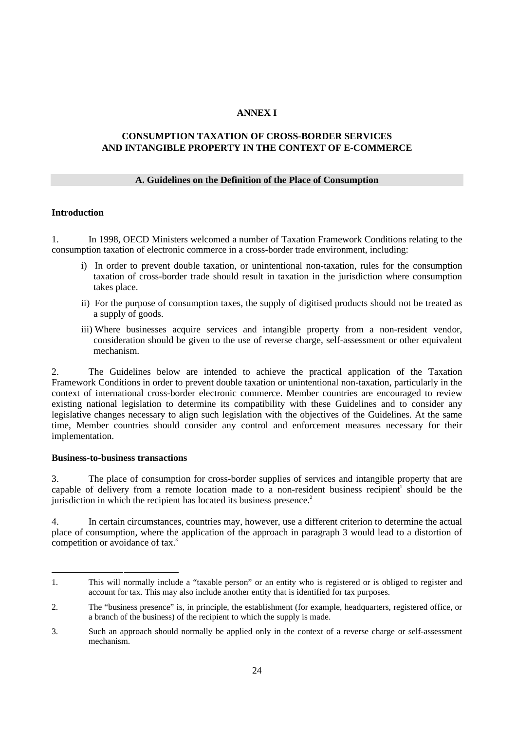## **ANNEX I**

## **CONSUMPTION TAXATION OF CROSS-BORDER SERVICES AND INTANGIBLE PROPERTY IN THE CONTEXT OF E-COMMERCE**

#### **A. Guidelines on the Definition of the Place of Consumption**

#### **Introduction**

1. In 1998, OECD Ministers welcomed a number of Taxation Framework Conditions relating to the consumption taxation of electronic commerce in a cross-border trade environment, including:

- i) In order to prevent double taxation, or unintentional non-taxation, rules for the consumption taxation of cross-border trade should result in taxation in the jurisdiction where consumption takes place.
- ii) For the purpose of consumption taxes, the supply of digitised products should not be treated as a supply of goods.
- iii) Where businesses acquire services and intangible property from a non-resident vendor, consideration should be given to the use of reverse charge, self-assessment or other equivalent mechanism.

2. The Guidelines below are intended to achieve the practical application of the Taxation Framework Conditions in order to prevent double taxation or unintentional non-taxation, particularly in the context of international cross-border electronic commerce. Member countries are encouraged to review existing national legislation to determine its compatibility with these Guidelines and to consider any legislative changes necessary to align such legislation with the objectives of the Guidelines. At the same time, Member countries should consider any control and enforcement measures necessary for their implementation.

#### **Business-to-business transactions**

3. The place of consumption for cross-border supplies of services and intangible property that are capable of delivery from a remote location made to a non-resident business recipient<sup>1</sup> should be the jurisdiction in which the recipient has located its business presence.<sup>2</sup>

4. In certain circumstances, countries may, however, use a different criterion to determine the actual place of consumption, where the application of the approach in paragraph 3 would lead to a distortion of competition or avoidance of tax.<sup>3</sup>

<sup>-</sup>1. This will normally include a "taxable person" or an entity who is registered or is obliged to register and account for tax. This may also include another entity that is identified for tax purposes.

<sup>2.</sup> The "business presence" is, in principle, the establishment (for example, headquarters, registered office, or a branch of the business) of the recipient to which the supply is made.

<sup>3.</sup> Such an approach should normally be applied only in the context of a reverse charge or self-assessment mechanism.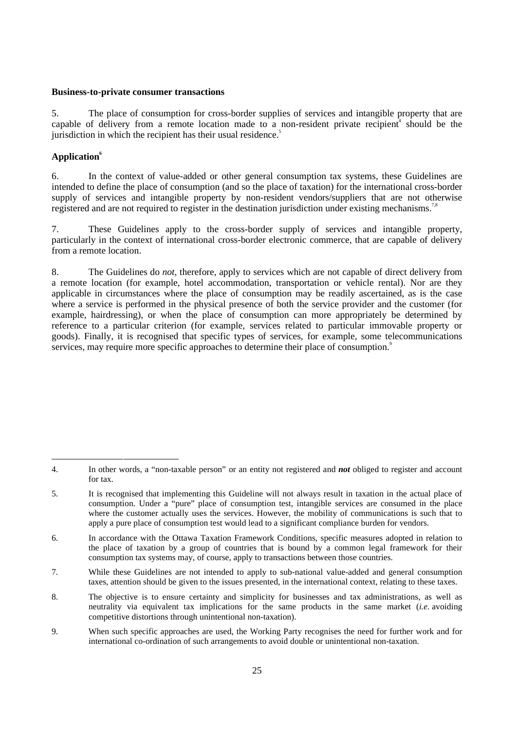#### **Business-to-private consumer transactions**

5. The place of consumption for cross-border supplies of services and intangible property that are capable of delivery from a remote location made to a non-resident private recipient<sup>4</sup> should be the jurisdiction in which the recipient has their usual residence.<sup>5</sup>

## Application<sup>6</sup>

6. In the context of value-added or other general consumption tax systems, these Guidelines are intended to define the place of consumption (and so the place of taxation) for the international cross-border supply of services and intangible property by non-resident vendors/suppliers that are not otherwise registered and are not required to register in the destination jurisdiction under existing mechanisms.<sup>7,8</sup>

7. These Guidelines apply to the cross-border supply of services and intangible property, particularly in the context of international cross-border electronic commerce, that are capable of delivery from a remote location.

8. The Guidelines do *not*, therefore, apply to services which are not capable of direct delivery from a remote location (for example, hotel accommodation, transportation or vehicle rental). Nor are they applicable in circumstances where the place of consumption may be readily ascertained, as is the case where a service is performed in the physical presence of both the service provider and the customer (for example, hairdressing), or when the place of consumption can more appropriately be determined by reference to a particular criterion (for example, services related to particular immovable property or goods). Finally, it is recognised that specific types of services, for example, some telecommunications services, may require more specific approaches to determine their place of consumption.<sup>9</sup>

<sup>-</sup>4. In other words, a "non-taxable person" or an entity not registered and *not* obliged to register and account for tax.

<sup>5.</sup> It is recognised that implementing this Guideline will not always result in taxation in the actual place of consumption. Under a "pure" place of consumption test, intangible services are consumed in the place where the customer actually uses the services. However, the mobility of communications is such that to apply a pure place of consumption test would lead to a significant compliance burden for vendors.

<sup>6.</sup> In accordance with the Ottawa Taxation Framework Conditions, specific measures adopted in relation to the place of taxation by a group of countries that is bound by a common legal framework for their consumption tax systems may, of course, apply to transactions between those countries.

<sup>7.</sup> While these Guidelines are not intended to apply to sub-national value-added and general consumption taxes, attention should be given to the issues presented, in the international context, relating to these taxes.

<sup>8.</sup> The objective is to ensure certainty and simplicity for businesses and tax administrations, as well as neutrality via equivalent tax implications for the same products in the same market (*i.e.* avoiding competitive distortions through unintentional non-taxation).

<sup>9.</sup> When such specific approaches are used, the Working Party recognises the need for further work and for international co-ordination of such arrangements to avoid double or unintentional non-taxation.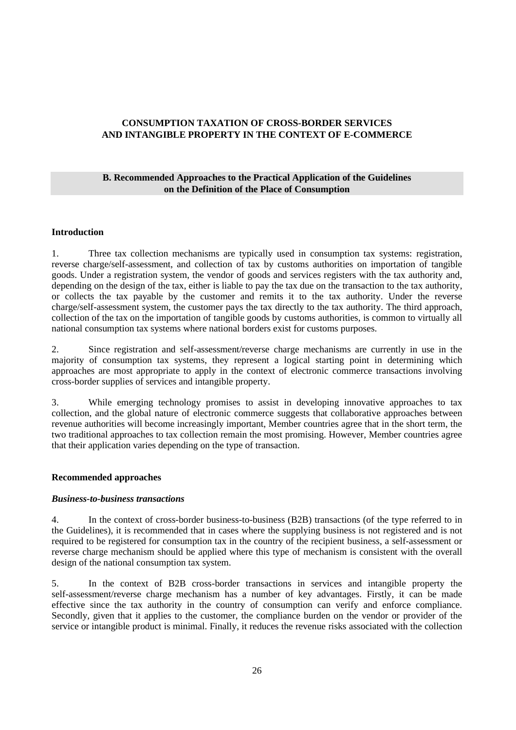# **CONSUMPTION TAXATION OF CROSS-BORDER SERVICES AND INTANGIBLE PROPERTY IN THE CONTEXT OF E-COMMERCE**

## **B. Recommended Approaches to the Practical Application of the Guidelines on the Definition of the Place of Consumption**

#### **Introduction**

1. Three tax collection mechanisms are typically used in consumption tax systems: registration, reverse charge/self-assessment, and collection of tax by customs authorities on importation of tangible goods. Under a registration system, the vendor of goods and services registers with the tax authority and, depending on the design of the tax, either is liable to pay the tax due on the transaction to the tax authority, or collects the tax payable by the customer and remits it to the tax authority. Under the reverse charge/self-assessment system, the customer pays the tax directly to the tax authority. The third approach, collection of the tax on the importation of tangible goods by customs authorities, is common to virtually all national consumption tax systems where national borders exist for customs purposes.

2. Since registration and self-assessment/reverse charge mechanisms are currently in use in the majority of consumption tax systems, they represent a logical starting point in determining which approaches are most appropriate to apply in the context of electronic commerce transactions involving cross-border supplies of services and intangible property.

3. While emerging technology promises to assist in developing innovative approaches to tax collection, and the global nature of electronic commerce suggests that collaborative approaches between revenue authorities will become increasingly important, Member countries agree that in the short term, the two traditional approaches to tax collection remain the most promising. However, Member countries agree that their application varies depending on the type of transaction.

#### **Recommended approaches**

#### *Business-to-business transactions*

4. In the context of cross-border business-to-business (B2B) transactions (of the type referred to in the Guidelines), it is recommended that in cases where the supplying business is not registered and is not required to be registered for consumption tax in the country of the recipient business, a self-assessment or reverse charge mechanism should be applied where this type of mechanism is consistent with the overall design of the national consumption tax system.

5. In the context of B2B cross-border transactions in services and intangible property the self-assessment/reverse charge mechanism has a number of key advantages. Firstly, it can be made effective since the tax authority in the country of consumption can verify and enforce compliance. Secondly, given that it applies to the customer, the compliance burden on the vendor or provider of the service or intangible product is minimal. Finally, it reduces the revenue risks associated with the collection